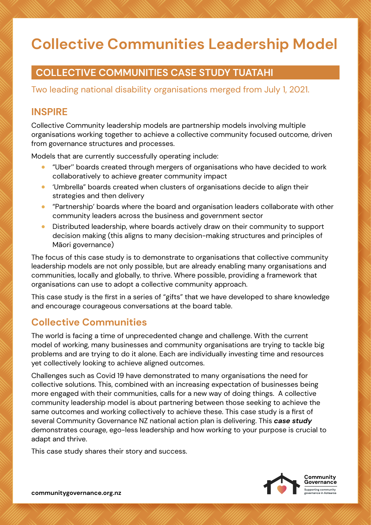# **Collective Communities Leadership Model**

## **COLLECTIVE COMMUNITIES CASE STUDY TUATAHI**

Two leading national disability organisations merged from July 1, 2021.

## **INSPIRE**

Collective Community leadership models are partnership models involving multiple organisations working together to achieve a collective community focused outcome, driven from governance structures and processes.

Models that are currently successfully operating include:

- "Uber'' boards created through mergers of organisations who have decided to work collaboratively to achieve greater community impact
- 'Umbrella" boards created when clusters of organisations decide to align their strategies and then delivery
- "Partnership' boards where the board and organisation leaders collaborate with other community leaders across the business and government sector
- Distributed leadership, where boards actively draw on their community to support decision making (this aligns to many decision-making structures and principles of Māori governance)

The focus of this case study is to demonstrate to organisations that collective community leadership models are not only possible, but are already enabling many organisations and communities, locally and globally, to thrive. Where possible, providing a framework that organisations can use to adopt a collective community approach.

This case study is the first in a series of "gifts" that we have developed to share knowledge and encourage courageous conversations at the board table.

## **Collective Communities**

The world is facing a time of unprecedented change and challenge. With the current model of working, many businesses and community organisations are trying to tackle big problems and are trying to do it alone. Each are individually investing time and resources yet collectively looking to achieve aligned outcomes.

Challenges such as Covid 19 have demonstrated to many organisations the need for collective solutions. This, combined with an increasing expectation of businesses being more engaged with their communities, calls for a new way of doing things. A collective community leadership model is about partnering between those seeking to achieve the same outcomes and working collectively to achieve these. This case study is a first of several Community Governance NZ national action plan is delivering. This *case study*  demonstrates courage, ego-less leadership and how working to your purpose is crucial to adapt and thrive.

This case study shares their story and success.

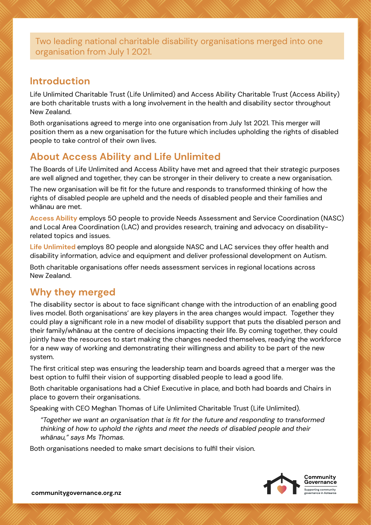Two leading national charitable disability organisations merged into one organisation from July 1 2021.

#### **Introduction**

Life Unlimited Charitable Trust (Life Unlimited) and Access Ability Charitable Trust (Access Ability) are both charitable trusts with a long involvement in the health and disability sector throughout New Zealand.

Both organisations agreed to merge into one organisation from July 1st 2021. This merger will position them as a new organisation for the future which includes upholding the rights of disabled people to take control of their own lives.

# **About Access Ability and Life Unlimited**

The Boards of Life Unlimited and Access Ability have met and agreed that their strategic purposes are well aligned and together, they can be stronger in their delivery to create a new organisation.

The new organisation will be fit for the future and responds to transformed thinking of how the rights of disabled people are upheld and the needs of disabled people and their families and whānau are met.

**Access Ability** employs 50 people to provide Needs Assessment and Service Coordination (NASC) and Local Area Coordination (LAC) and provides research, training and advocacy on disabilityrelated topics and issues.

**Life Unlimited** employs 80 people and alongside NASC and LAC services they offer health and disability information, advice and equipment and deliver professional development on Autism.

Both charitable organisations offer needs assessment services in regional locations across New Zealand.

## **Why they merged**

The disability sector is about to face significant change with the introduction of an enabling good lives model. Both organisations' are key players in the area changes would impact. Together they could play a significant role in a new model of disability support that puts the disabled person and their family/whānau at the centre of decisions impacting their life. By coming together, they could jointly have the resources to start making the changes needed themselves, readying the workforce for a new way of working and demonstrating their willingness and ability to be part of the new system.

The first critical step was ensuring the leadership team and boards agreed that a merger was the best option to fulfil their vision of supporting disabled people to lead a good life.

Both charitable organisations had a Chief Executive in place, and both had boards and Chairs in place to govern their organisations.

Speaking with CEO Meghan Thomas of Life Unlimited Charitable Trust (Life Unlimited).

*"Together we want an organisation that is fit for the future and responding to transformed thinking of how to uphold the rights and meet the needs of disabled people and their whānau," says Ms Thomas.* 

Both organisations needed to make smart decisions to fulfil their vision.

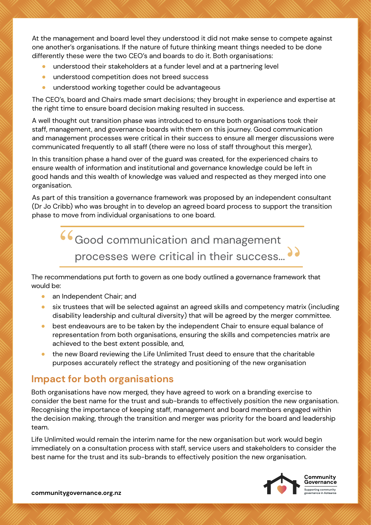At the management and board level they understood it did not make sense to compete against one another's organisations. If the nature of future thinking meant things needed to be done differently these were the two CEO's and boards to do it. Both organisations:

- understood their stakeholders at a funder level and at a partnering level
- understood competition does not breed success
- understood working together could be advantageous

The CEO's, board and Chairs made smart decisions; they brought in experience and expertise at the right time to ensure board decision making resulted in success.

A well thought out transition phase was introduced to ensure both organisations took their staff, management, and governance boards with them on this journey. Good communication and management processes were critical in their success to ensure all merger discussions were communicated frequently to all staff (there were no loss of staff throughout this merger),

In this transition phase a hand over of the guard was created, for the experienced chairs to ensure wealth of information and institutional and governance knowledge could be left in good hands and this wealth of knowledge was valued and respected as they merged into one organisation.

As part of this transition a governance framework was proposed by an independent consultant (Dr Jo Cribb) who was brought in to develop an agreed board process to support the transition phase to move from individual organisations to one board.



The recommendations put forth to govern as one body outlined a governance framework that would be:

- an Independent Chair; and
- six trustees that will be selected against an agreed skills and competency matrix (including disability leadership and cultural diversity) that will be agreed by the merger committee.
- best endeavours are to be taken by the independent Chair to ensure equal balance of representation from both organisations, ensuring the skills and competencies matrix are achieved to the best extent possible, and,
- the new Board reviewing the Life Unlimited Trust deed to ensure that the charitable purposes accurately reflect the strategy and positioning of the new organisation

## **Impact for both organisations**

Both organisations have now merged, they have agreed to work on a branding exercise to consider the best name for the trust and sub-brands to effectively position the new organisation. Recognising the importance of keeping staff, management and board members engaged within the decision making, through the transition and merger was priority for the board and leadership team.

Life Unlimited would remain the interim name for the new organisation but work would begin immediately on a consultation process with staff, service users and stakeholders to consider the best name for the trust and its sub-brands to effectively position the new organisation.